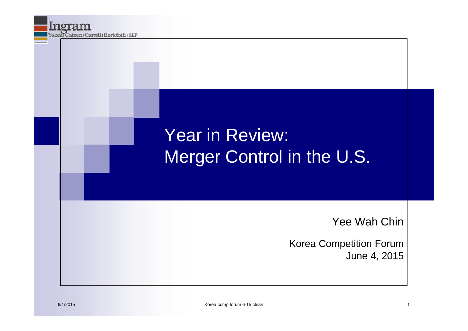### Year in Review: Merger Control in the U.S.

Yee Wah Chin

Korea Competition Forum June 4, 2015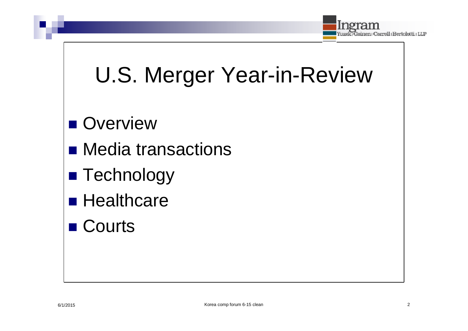

## U.S. Merger Year-in-Review

#### ■ Overview

- **Nedia transactions**
- **Technology**
- **Healthcare**
- Courts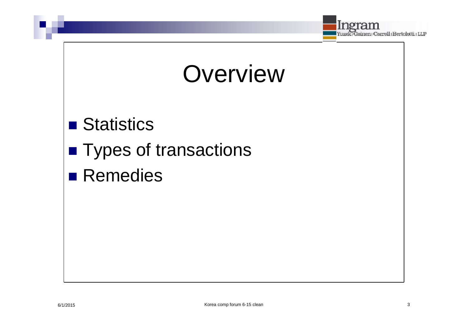

## **Overview**

#### ■ Statistics

- **Types of transactions**
- **Remedies**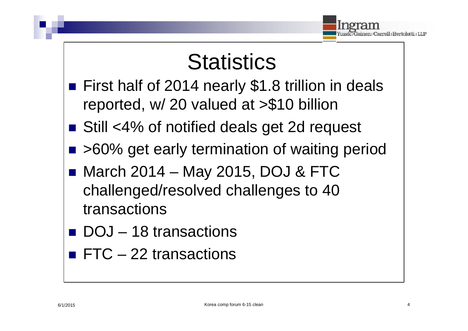

## **Statistics**

- First half of 2014 nearly \$1.8 trillion in deals reported, w/ 20 valued at >\$10 billion
- Still <4% of notified deals get 2d request
- >60% get early termination of waiting period
- March 2014 May 2015, DOJ & FTC challenged/resolved challenges to 40 transactions
- DOJ 18 transactions
- $\blacksquare$  FTC 22 transactions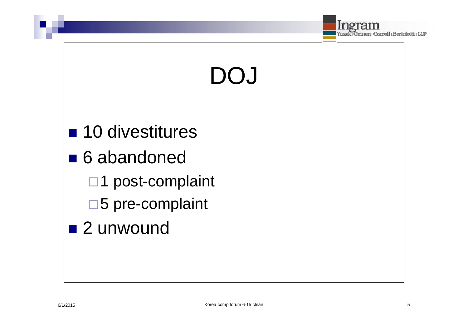

# DOJ

■ 10 divestitures ■ 6 abandoned □1 post-complaint □5 pre-complaint ■ 2 unwound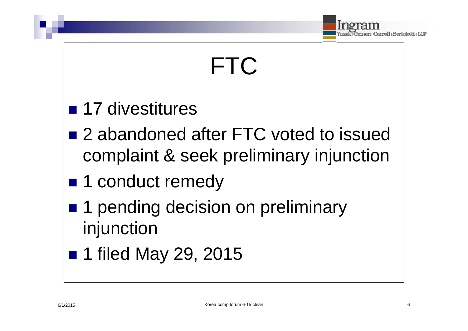

## FTC

#### **17 divestitures**

- 2 abandoned after FTC voted to issued complaint & seek preliminary injunction
- 1 conduct remedy
- 1 pending decision on preliminary injunction
- 1 filed May 29, 2015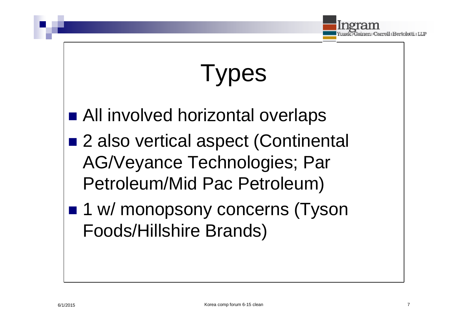

## **Types**

- All involved horizontal overlaps
- 2 also vertical aspect (Continental AG/Veyance Technologies; Par Petroleum/Mid Pac Petroleum)
- 1 w/ monopsony concerns (Tyson Foods/Hillshire Brands)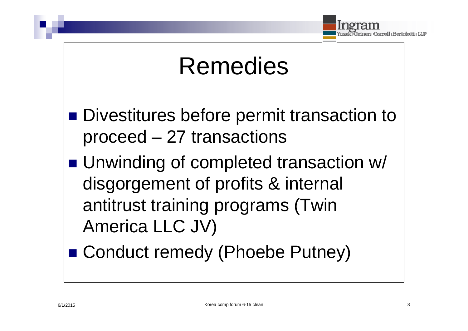

## Remedies

- Divestitures before permit transaction to proceed – 27 transactions
- Unwinding of completed transaction w/ disgorgement of profits & internal antitrust training programs (Twin America LLC JV)
- Conduct remedy (Phoebe Putney)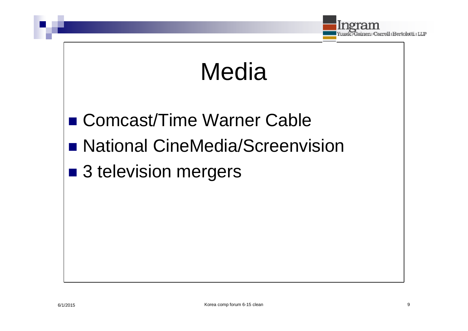

## Media

- Comcast/Time Warner Cable
- **National CineMedia/Screenvision**
- 3 television mergers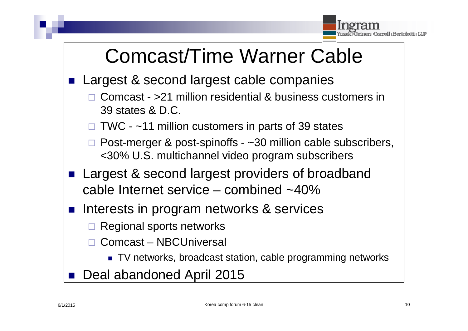

## Comcast/Time Warner Cable

- Largest & second largest cable companies
	- Comcast >21 million residential & business customers in 39 states & D.C.
	- $\Box$  TWC ~11 million customers in parts of 39 states
	- $\Box$  Post-merger & post-spinoffs  $\sim$ 30 million cable subscribers, <30% U.S. multichannel video program subscribers
- Largest & second largest providers of broadband cable Internet service – combined ~40%
- Interests in program networks & services
	- Regional sports networks
	- Comcast NBCUniversal
		- TV networks, broadcast station, cable programming networks
- Deal abandoned April 2015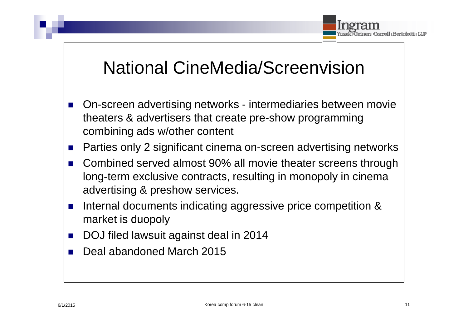

#### National CineMedia/Screenvision

- On-screen advertising networks intermediaries between movie theaters & advertisers that create pre-show programming combining ads w/other content
- Parties only 2 significant cinema on-screen advertising networks
- Combined served almost 90% all movie theater screens through long-term exclusive contracts, resulting in monopoly in cinema advertising & preshow services.
- **Internal documents indicating aggressive price competition &** market is duopoly
- DOJ filed lawsuit against deal in 2014
- Deal abandoned March 2015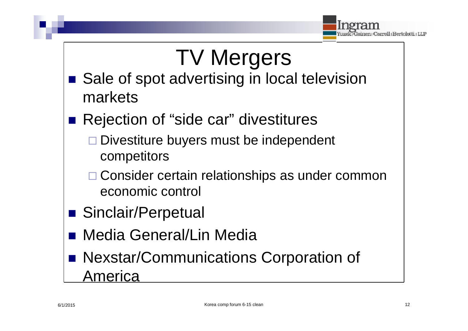

# TV Mergers

- Sale of spot advertising in local television markets
	- Rejection of "side car" divestitures
		- $\Box$  Divestiture buyers must be independent competitors
		- □ Consider certain relationships as under common economic control
- Sinclair/Perpetual
- Media General/Lin Media
- Nexstar/Communications Corporation of America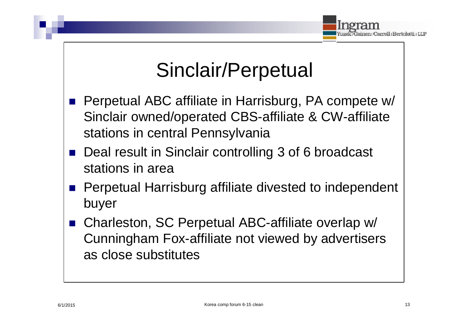

## Sinclair/Perpetual

- Perpetual ABC affiliate in Harrisburg, PA compete w/ Sinclair owned/operated CBS-affiliate & CW-affiliate stations in central Pennsylvania
- Deal result in Sinclair controlling 3 of 6 broadcast stations in area
- Perpetual Harrisburg affiliate divested to independent buyer
- Charleston, SC Perpetual ABC-affiliate overlap w/ Cunningham Fox-affiliate not viewed by advertisers as close substitutes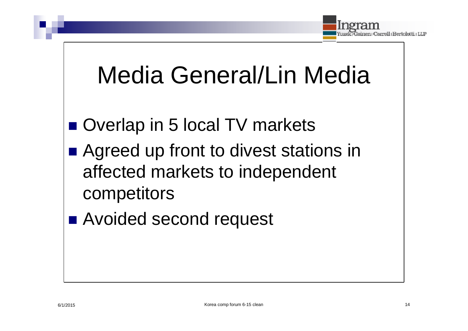

## Media General/Lin Media

- Overlap in 5 local TV markets
- Agreed up front to divest stations in affected markets to independent competitors
- Avoided second request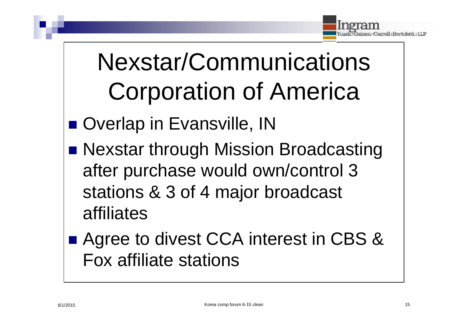

# Nexstar/Communications Corporation of America

- Overlap in Evansville, IN
- **Nexstar through Mission Broadcasting** after purchase would own/control 3 stations & 3 of 4 major broadcast affiliates
- Agree to divest CCA interest in CBS & Fox affiliate stations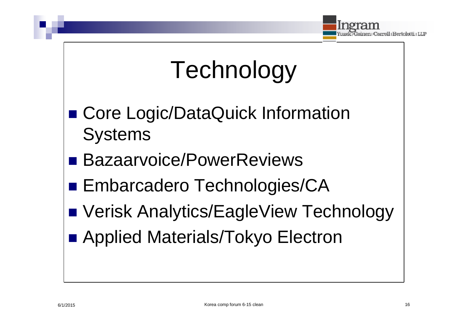

## Technology

- Core Logic/DataQuick Information **Systems**
- Bazaarvoice/PowerReviews
- Embarcadero Technologies/CA
- Verisk Analytics/EagleView Technology
- Applied Materials/Tokyo Electron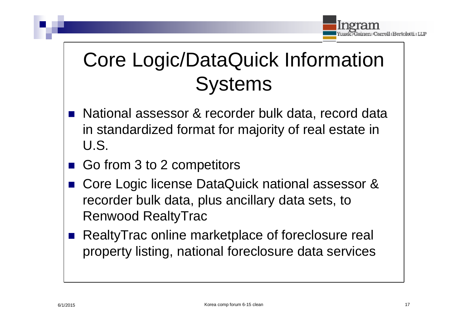

## Core Logic/DataQuick Information **Systems**

- National assessor & recorder bulk data, record data in standardized format for majority of real estate in U.S.
- Go from 3 to 2 competitors
- Core Logic license DataQuick national assessor & recorder bulk data, plus ancillary data sets, to Renwood RealtyTrac
- RealtyTrac online marketplace of foreclosure real property listing, national foreclosure data services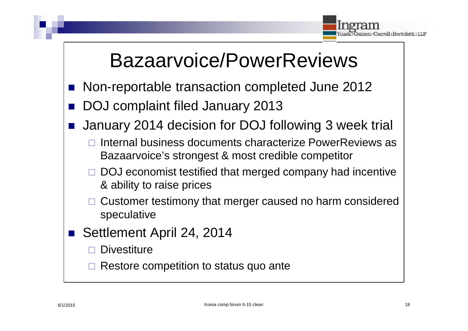

## Bazaarvoice/PowerReviews

- Non-reportable transaction completed June 2012
- DOJ complaint filed January 2013
- January 2014 decision for DOJ following 3 week trial
	- Internal business documents characterize PowerReviews as Bazaarvoice's strongest & most credible competitor
	- DOJ economist testified that merged company had incentive & ability to raise prices
	- Customer testimony that merger caused no harm considered speculative
- Settlement April 24, 2014
	- **Divestiture**
	- Restore competition to status quo ante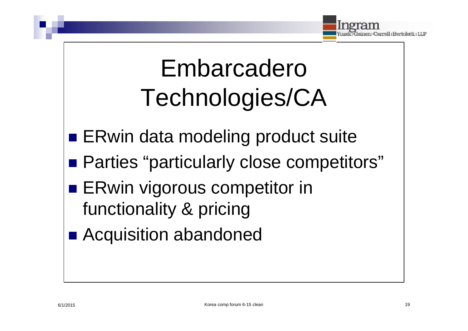

# Embarcadero Technologies/CA

- **ERwin data modeling product suite**
- **Parties "particularly close competitors"**
- **ERwin vigorous competitor in** functionality & pricing
- Acquisition abandoned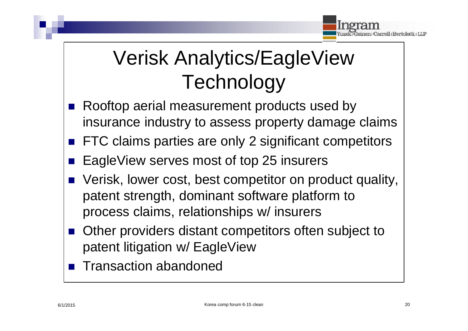

## Verisk Analytics/EagleView **Technology**

- Rooftop aerial measurement products used by insurance industry to assess property damage claims
- FTC claims parties are only 2 significant competitors
- EagleView serves most of top 25 insurers
- Verisk, lower cost, best competitor on product quality, patent strength, dominant software platform to process claims, relationships w/ insurers
- Other providers distant competitors often subject to patent litigation w/ EagleView
- Transaction abandoned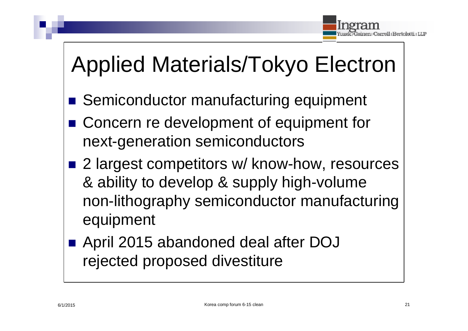

## Applied Materials/Tokyo Electron

- Semiconductor manufacturing equipment
- Concern re development of equipment for next-generation semiconductors
- 2 largest competitors w/ know-how, resources & ability to develop & supply high-volume non-lithography semiconductor manufacturing equipment
	- April 2015 abandoned deal after DOJ rejected proposed divestiture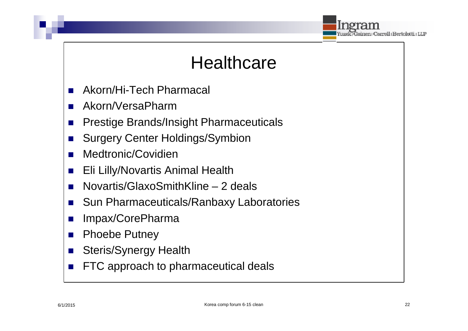

#### **Healthcare**

- Akorn/Hi-Tech Pharmacal
- Akorn/VersaPharm
- Prestige Brands/Insight Pharmaceuticals
- Surgery Center Holdings/Symbion
- Medtronic/Covidien
- **Eli Lilly/Novartis Animal Health**
- Novartis/GlaxoSmithKline 2 deals
- Sun Pharmaceuticals/Ranbaxy Laboratories
- Impax/CorePharma
- Phoebe Putney
- Steris/Synergy Health
- **FTC** approach to pharmaceutical deals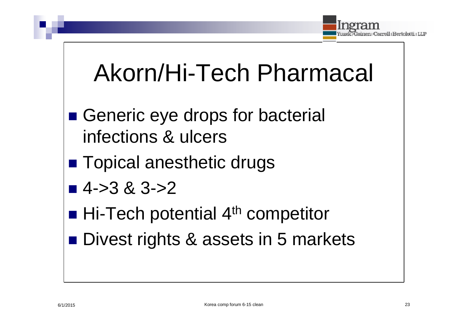

## Akorn/Hi-Tech Pharmacal

- Generic eye drops for bacterial infections & ulcers
- **Topical anesthetic drugs**
- $\blacksquare$  4->3 & 3->2
- $\blacksquare$  Hi-Tech potential 4<sup>th</sup> competitor
- Divest rights & assets in 5 markets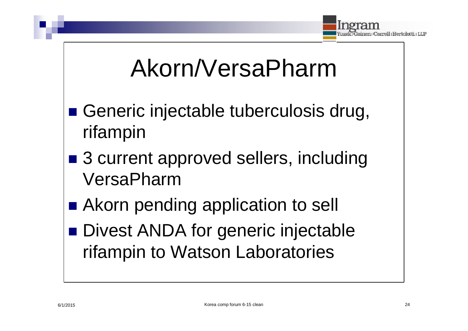

## Akorn/VersaPharm

- Generic injectable tuberculosis drug, rifampin
- 3 current approved sellers, including VersaPharm
- Akorn pending application to sell **Divest ANDA for generic injectable** rifampin to Watson Laboratories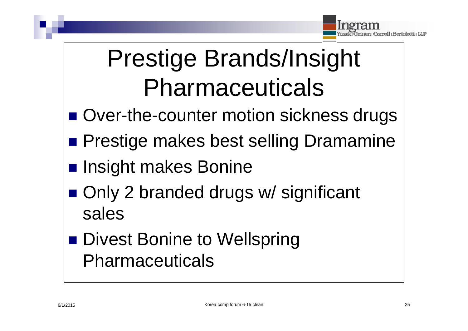

# Prestige Brands/Insight Pharmaceuticals

- Over-the-counter motion sickness drugs
- **Prestige makes best selling Dramamine**
- **Insight makes Bonine**
- Only 2 branded drugs w/ significant sales
- Divest Bonine to Wellspring Pharmaceuticals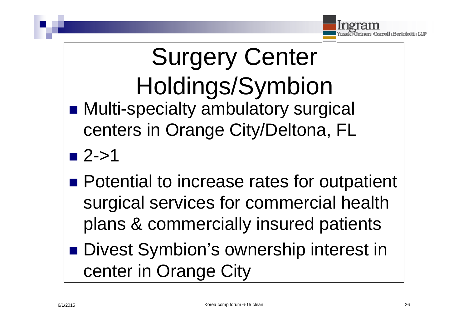

Surgery Center Holdings/Symbion ■ Multi-specialty ambulatory surgical centers in Orange City/Deltona, FL  $\blacksquare$  2->1

**Potential to increase rates for outpatient** surgical services for commercial health plans & commercially insured patients

**Divest Symbion's ownership interest in** center in Orange City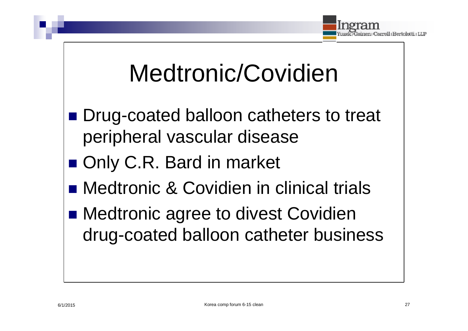

## Medtronic/Covidien

- Drug-coated balloon catheters to treat peripheral vascular disease
- Only C.R. Bard in market
- Medtronic & Covidien in clinical trials
- Medtronic agree to divest Covidien drug-coated balloon catheter business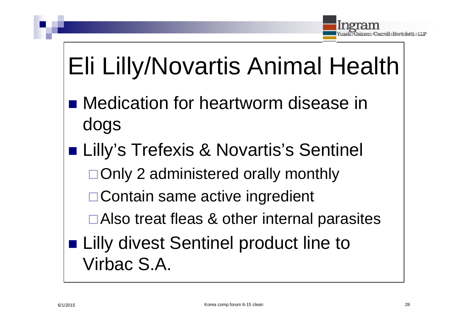

# Eli Lilly/Novartis Animal Health

- Medication for heartworm disease in dogs
- Lilly's Trefexis & Novartis's Sentinel
	- □Only 2 administered orally monthly
	- □ Contain same active ingredient
	- Also treat fleas & other internal parasites
- **Lilly divest Sentinel product line to** Virbac S.A.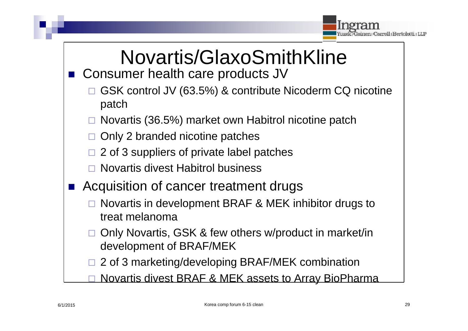

#### Novartis/GlaxoSmithKline ■ Consumer health care products JV

- GSK control JV (63.5%) & contribute Nicoderm CQ nicotine patch
- Novartis (36.5%) market own Habitrol nicotine patch
- $\Box$  Only 2 branded nicotine patches
- $\Box$  2 of 3 suppliers of private label patches
- Novartis divest Habitrol business
- Acquisition of cancer treatment drugs
	- Novartis in development BRAF & MEK inhibitor drugs to treat melanoma
	- Only Novartis, GSK & few others w/product in market/in development of BRAF/MEK
	- □ 2 of 3 marketing/developing BRAF/MEK combination
	- Novartis divest BRAF & MEK assets to Array BioPharma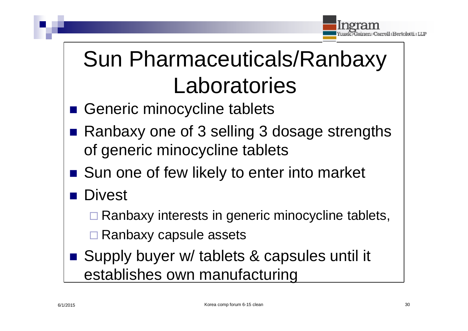

## Sun Pharmaceuticals/Ranbaxy Laboratories

- Generic minocycline tablets
- Ranbaxy one of 3 selling 3 dosage strengths of generic minocycline tablets
- Sun one of few likely to enter into market
- Divest
	- Ranbaxy interests in generic minocycline tablets,
	- Ranbaxy capsule assets
- Supply buyer w/ tablets & capsules until it establishes own manufacturing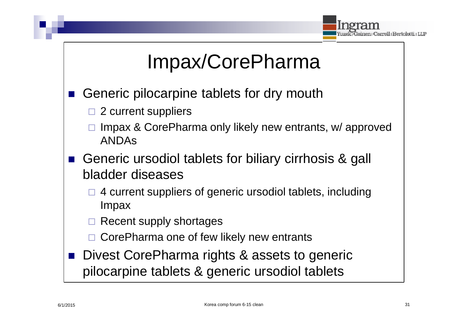

## Impax/CorePharma

- Generic pilocarpine tablets for dry mouth
	- $\Box$  2 current suppliers
	- Impax & CorePharma only likely new entrants, w/ approved ANDAs
- Generic ursodiol tablets for biliary cirrhosis & gall bladder diseases
	- $\Box$  4 current suppliers of generic ursodiol tablets, including Impax
	- Recent supply shortages
	- CorePharma one of few likely new entrants
- Divest CorePharma rights & assets to generic pilocarpine tablets & generic ursodiol tablets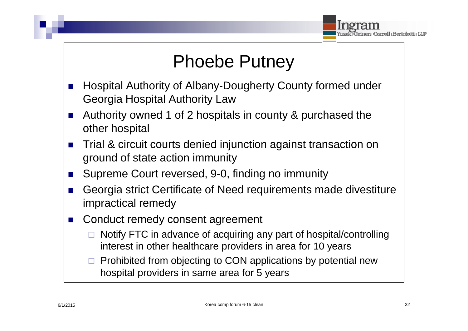

#### Phoebe Putney

- Hospital Authority of Albany-Dougherty County formed under Georgia Hospital Authority Law
- Authority owned 1 of 2 hospitals in county & purchased the other hospital
- Trial & circuit courts denied injunction against transaction on ground of state action immunity
- Supreme Court reversed, 9-0, finding no immunity
- Georgia strict Certificate of Need requirements made divestiture impractical remedy
- Conduct remedy consent agreement
	- $\Box$  Notify FTC in advance of acquiring any part of hospital/controlling interest in other healthcare providers in area for 10 years
	- $\Box$  Prohibited from objecting to CON applications by potential new hospital providers in same area for 5 years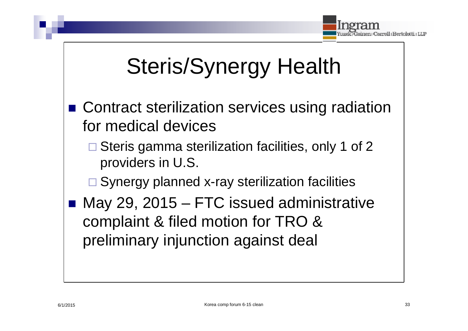

## Steris/Synergy Health

- Contract sterilization services using radiation for medical devices
	- Steris gamma sterilization facilities, only 1 of 2 providers in U.S.
	- $\square$  Synergy planned x-ray sterilization facilities
	- May 29, 2015 FTC issued administrative complaint & filed motion for TRO & preliminary injunction against deal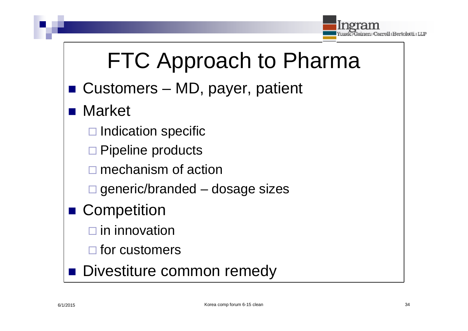

## FTC Approach to Pharma

- Customers MD, payer, patient
	- Market
		- $\Box$  Indication specific
		- $\square$  Pipeline products
		- □ mechanism of action
		- $\Box$  generic/branded dosage sizes
	- **Competition** 
		- $\square$  in innovation
		- $\Box$  for customers
- **Divestiture common remedy**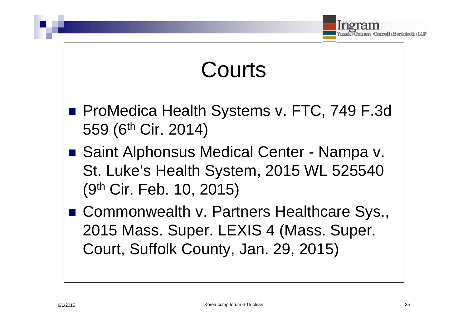

## Courts

- **ProMedica Health Systems v. FTC, 749 F.3d** 559 (6th Cir. 2014)
- Saint Alphonsus Medical Center Nampa v. St. Luke's Health System, 2015 WL 525540 (9th Cir. Feb. 10, 2015)
- Commonwealth v. Partners Healthcare Sys., 2015 Mass. Super. LEXIS 4 (Mass. Super. Court, Suffolk County, Jan. 29, 2015)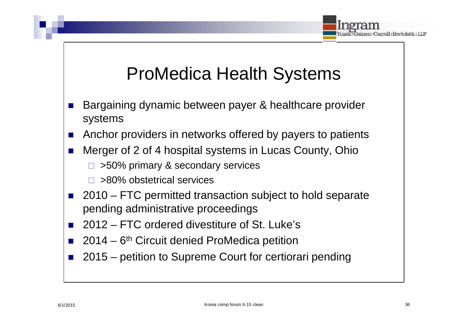

#### ProMedica Health Systems

- Bargaining dynamic between payer & healthcare provider systems
- Anchor providers in networks offered by payers to patients
- Merger of 2 of 4 hospital systems in Lucas County, Ohio

 $\Box$  >50% primary & secondary services

- □ >80% obstetrical services
- 2010 FTC permitted transaction subject to hold separate pending administrative proceedings
- 2012 FTC ordered divestiture of St. Luke's
- $\blacksquare$  2014 6<sup>th</sup> Circuit denied ProMedica petition
- 2015 petition to Supreme Court for certiorari pending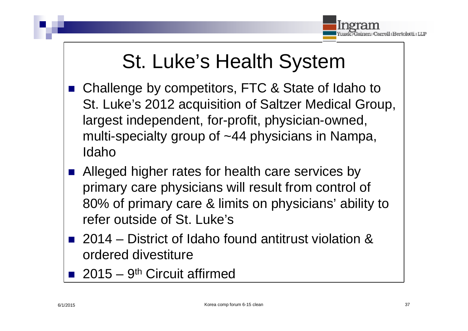

## St. Luke's Health System

- Challenge by competitors, FTC & State of Idaho to St. Luke's 2012 acquisition of Saltzer Medical Group, largest independent, for-profit, physician-owned, multi-specialty group of ~44 physicians in Nampa, Idaho
- Alleged higher rates for health care services by primary care physicians will result from control of 80% of primary care & limits on physicians' ability to refer outside of St. Luke's
- 2014 District of Idaho found antitrust violation & ordered divestiture
- 2015 9<sup>th</sup> Circuit affirmed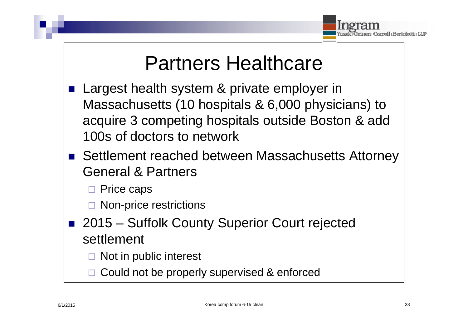

### Partners Healthcare

- Largest health system & private employer in Massachusetts (10 hospitals & 6,000 physicians) to acquire 3 competing hospitals outside Boston & add 100s of doctors to network
- Settlement reached between Massachusetts Attorney General & Partners
	- □ Price caps
	- $\Box$  Non-price restrictions
- 2015 Suffolk County Superior Court rejected settlement
	- Not in public interest
	- Could not be properly supervised & enforced